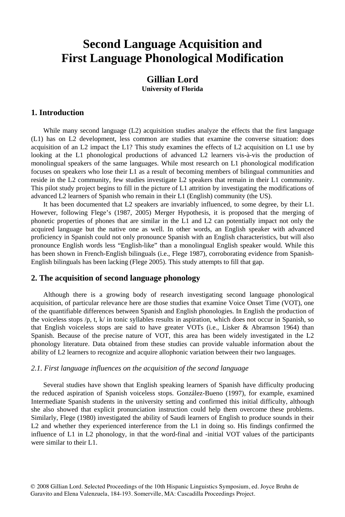## **Second Language Acquisition and First Language Phonological Modification**

## **Gillian Lord University of Florida**

## **1. Introduction**

While many second language (L2) acquisition studies analyze the effects that the first language (L1) has on L2 development, less common are studies that examine the converse situation: does acquisition of an L2 impact the L1? This study examines the effects of L2 acquisition on L1 use by looking at the L1 phonological productions of advanced L2 learners vis-à-vis the production of monolingual speakers of the same languages. While most research on L1 phonological modification focuses on speakers who lose their L1 as a result of becoming members of bilingual communities and reside in the L2 community, few studies investigate L2 speakers that remain in their L1 community. This pilot study project begins to fill in the picture of L1 attrition by investigating the modifications of advanced L2 learners of Spanish who remain in their L1 (English) community (the US).

It has been documented that L2 speakers are invariably influenced, to some degree, by their L1. However, following Flege's (1987, 2005) Merger Hypothesis, it is proposed that the merging of phonetic properties of phones that are similar in the L1 and L2 can potentially impact not only the acquired language but the native one as well. In other words, an English speaker with advanced proficiency in Spanish could not only pronounce Spanish with an English characteristics, but will also pronounce English words less "English-like" than a monolingual English speaker would. While this has been shown in French-English bilinguals (i.e., Flege 1987), corroborating evidence from Spanish-English bilinguals has been lacking (Flege 2005). This study attempts to fill that gap.

## **2. The acquisition of second language phonology**

Although there is a growing body of research investigating second language phonological acquisition, of particular relevance here are those studies that examine Voice Onset Time (VOT), one of the quantifiable differences between Spanish and English phonologies. In English the production of the voiceless stops  $/p$ , t,  $k/$  in tonic syllables results in aspiration, which does not occur in Spanish, so that English voiceless stops are said to have greater VOTs (i.e., Lisker & Abramson 1964) than Spanish. Because of the precise nature of VOT, this area has been widely investigated in the L2 phonology literature. Data obtained from these studies can provide valuable information about the ability of L2 learners to recognize and acquire allophonic variation between their two languages.

#### *2.1. First language influences on the acquisition of the second language*

Several studies have shown that English speaking learners of Spanish have difficulty producing the reduced aspiration of Spanish voiceless stops. González-Bueno (1997), for example, examined Intermediate Spanish students in the university setting and confirmed this initial difficulty, although she also showed that explicit pronunciation instruction could help them overcome these problems. Similarly, Flege (1980) investigated the ability of Saudi learners of English to produce sounds in their L2 and whether they experienced interference from the L1 in doing so. His findings confirmed the influence of L1 in L2 phonology, in that the word-final and -initial VOT values of the participants were similar to their L1.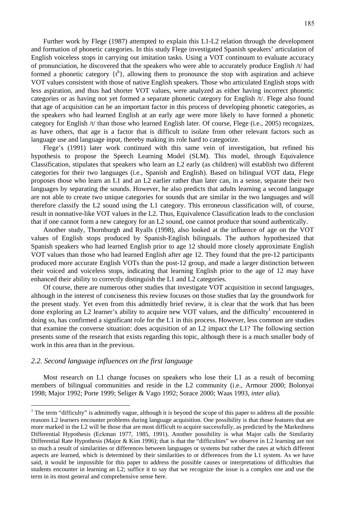Further work by Flege (1987) attempted to explain this L1-L2 relation through the development and formation of phonetic categories. In this study Flege investigated Spanish speakers' articulation of English voiceless stops in carrying out imitation tasks. Using a VOT continuum to evaluate accuracy of pronunciation, he discovered that the speakers who were able to accurately produce English /t/ had formed a phonetic category  $\{t^h\}$ , allowing them to pronounce the stop with aspiration and achieve VOT values consistent with those of native English speakers. Those who articulated English stops with less aspiration, and thus had shorter VOT values, were analyzed as either having incorrect phonetic categories or as having not yet formed a separate phonetic category for English /t/. Flege also found that age of acquisition can be an important factor in this process of developing phonetic categories, as the speakers who had learned English at an early age were more likely to have formed a phonetic category for English /t/ than those who learned English later. Of course, Flege (i.e., 2005) recognizes, as have others, that age is a factor that is difficult to isolate from other relevant factors such as language use and language input, thereby making its role hard to categorize.

Flege's (1991) later work continued with this same vein of investigation, but refined his hypothesis to propose the Speech Learning Model (SLM). This model, through Equivalence Classification, stipulates that speakers who learn an L2 early (as children) will establish two different categories for their two languages (i.e., Spanish and English). Based on bilingual VOT data, Flege proposes those who learn an L1 and an L2 earlier rather than later can, in a sense, separate their two languages by separating the sounds. However, he also predicts that adults learning a second language are not able to create two unique categories for sounds that are similar in the two languages and will therefore classify the L2 sound using the L1 category. This erroneous classification will, of course, result in nonnative-like VOT values in the L2. Thus, Equivalence Classification leads to the conclusion that if one cannot form a new category for an L2 sound, one cannot produce that sound authentically.

Another study, Thornburgh and Ryalls (1998), also looked at the influence of age on the VOT values of English stops produced by Spanish-English bilinguals. The authors hypothesized that Spanish speakers who had learned English prior to age 12 should more closely approximate English VOT values than those who had learned English after age 12. They found that the pre-12 participants produced more accurate English VOTs than the post-12 group, and made a larger distinction between their voiced and voiceless stops, indicating that learning English prior to the age of 12 may have enhanced their ability to correctly distinguish the L1 and L2 categories.

Of course, there are numerous other studies that investigate VOT acquisition in second languages, although in the interest of conciseness this review focuses on those studies that lay the groundwork for the present study. Yet even from this admittedly brief review, it is clear that the work that has been done exploring an L2 learner's ability to acquire new VOT values, and the difficulty<sup>1</sup> encountered in doing so, has confirmed a significant role for the L1 in this process. However, less common are studies that examine the converse situation: does acquisition of an L2 impact the L1? The following section presents some of the research that exists regarding this topic, although there is a much smaller body of work in this area than in the previous.

#### *2.2. Second language influences on the first language*

1

Most research on L1 change focuses on speakers who lose their L1 as a result of becoming members of bilingual communities and reside in the L2 community (i.e., Armour 2000; Bolonyai 1998; Major 1992; Porte 1999; Seliger & Vago 1992; Sorace 2000; Waas 1993, *inter alia*)*.*

 $<sup>1</sup>$  The term "difficulty" is admittedly vague, although it is beyond the scope of this paper to address all the possible</sup> reasons L2 learners encounter problems during language acquisition. One possibility is that those features that are more marked in the L2 will be those that are most difficult to acquire successfully, as predicted by the Markedness Differential Hypothesis (Eckman 1977, 1985, 1991). Another possibility is what Major calls the Similarity Differential Rate Hypothesis (Major & Kim 1996); that is that the "difficulties" we observe in L2 learning are not so much a result of similarities or differences between languages or systems but rather the rates at which different aspects are learned, which is determined by their similarities to or differences from the L1 system. As we have said, it would be impossible for this paper to address the possible causes or interpretations of difficulties that students encounter in learning an L2; suffice it to say that we recognize the issue is a complex one and use the term in its most general and comprehensive sense here.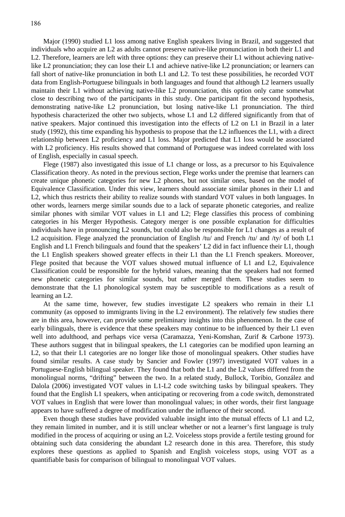Major (1990) studied L1 loss among native English speakers living in Brazil, and suggested that individuals who acquire an L2 as adults cannot preserve native-like pronunciation in both their L1 and L2. Therefore, learners are left with three options: they can preserve their L1 without achieving nativelike L2 pronunciation; they can lose their L1 and achieve native-like L2 pronunciation; or learners can fall short of native-like pronunciation in both L1 and L2. To test these possibilities, he recorded VOT data from English-Portuguese bilinguals in both languages and found that although L2 learners usually maintain their L1 without achieving native-like L2 pronunciation, this option only came somewhat close to describing two of the participants in this study. One participant fit the second hypothesis, demonstrating native-like L2 pronunciation, but losing native-like L1 pronunciation. The third hypothesis characterized the other two subjects, whose L1 and L2 differed significantly from that of native speakers. Major continued this investigation into the effects of L2 on L1 in Brazil in a later study (1992), this time expanding his hypothesis to propose that the L2 influences the L1, with a direct relationship between L2 proficiency and L1 loss. Major predicted that L1 loss would be associated with L2 proficiency. His results showed that command of Portuguese was indeed correlated with loss of English, especially in casual speech.

Flege (1987) also investigated this issue of L1 change or loss, as a precursor to his Equivalence Classification theory. As noted in the previous section, Flege works under the premise that learners can create unique phonetic categories for new L2 phones, but not similar ones, based on the model of Equivalence Classification. Under this view, learners should associate similar phones in their L1 and L2, which thus restricts their ability to realize sounds with standard VOT values in both languages. In other words, learners merge similar sounds due to a lack of separate phonetic categories, and realize similar phones with similar VOT values in L1 and L2; Flege classifies this process of combining categories in his Merger Hypothesis. Category merger is one possible explanation for difficulties individuals have in pronouncing L2 sounds, but could also be responsible for L1 changes as a result of L2 acquisition. Flege analyzed the pronunciation of English /tu/ and French /tu/ and /ty/ of both L1 English and L1 French bilinguals and found that the speakers' L2 did in fact influence their L1, though the L1 English speakers showed greater effects in their L1 than the L1 French speakers. Moreover, Flege posited that because the VOT values showed mutual influence of L1 and L2, Equivalence Classification could be responsible for the hybrid values, meaning that the speakers had not formed new phonetic categories for similar sounds, but rather merged them. These studies seem to demonstrate that the L1 phonological system may be susceptible to modifications as a result of learning an L2.

At the same time, however, few studies investigate L2 speakers who remain in their L1 community (as opposed to immigrants living in the L2 environment). The relatively few studies there are in this area, however, can provide some preliminary insights into this phenomenon. In the case of early bilinguals, there is evidence that these speakers may continue to be influenced by their L1 even well into adulthood, and perhaps vice versa (Caramazza, Yeni-Komshan, Zurif & Carbone 1973). These authors suggest that in bilingual speakers, the L1 categories can be modified upon learning an L2, so that their L1 categories are no longer like those of monolingual speakers. Other studies have found similar results. A case study by Sancier and Fowler (1997) investigated VOT values in a Portuguese-English bilingual speaker. They found that both the L1 and the L2 values differed from the monolingual norms, "drifting" between the two. In a related study, Bullock, Toribio, González and Dalola (2006) investigated VOT values in L1-L2 code switching tasks by bilingual speakers. They found that the English L1 speakers, when anticipating or recovering from a code switch, demonstrated VOT values in English that were lower than monolingual values; in other words, their first language appears to have suffered a degree of modification under the influence of their second.

Even though these studies have provided valuable insight into the mutual effects of L1 and L2, they remain limited in number, and it is still unclear whether or not a learner's first language is truly modified in the process of acquiring or using an L2. Voiceless stops provide a fertile testing ground for obtaining such data considering the abundant L2 research done in this area. Therefore, this study explores these questions as applied to Spanish and English voiceless stops, using VOT as a quantifiable basis for comparison of bilingual to monolingual VOT values.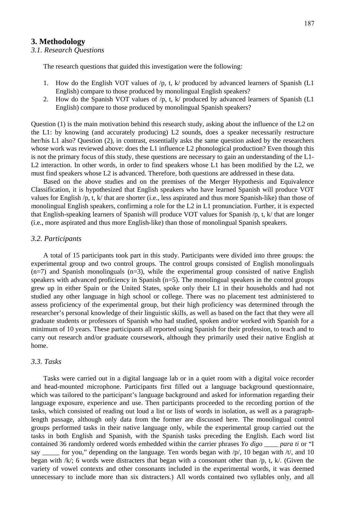#### **3. Methodology**

#### *3.1. Research Questions*

The research questions that guided this investigation were the following:

- 1. How do the English VOT values of /p, t, k/ produced by advanced learners of Spanish (L1 English) compare to those produced by monolingual English speakers?
- 2. How do the Spanish VOT values of /p, t, k/ produced by advanced learners of Spanish (L1 English) compare to those produced by monolingual Spanish speakers?

Question (1) is the main motivation behind this research study, asking about the influence of the L2 on the L1: by knowing (and accurately producing) L2 sounds, does a speaker necessarily restructure her/his L1 also? Question (2), in contrast, essentially asks the same question asked by the researchers whose work was reviewed above: does the L1 influence L2 phonological production? Even though this is not the primary focus of this study, these questions are necessary to gain an understanding of the L1- L2 interaction. In other words, in order to find speakers whose L1 has been modified by the L2, we must find speakers whose L2 is advanced. Therefore, both questions are addressed in these data.

Based on the above studies and on the premises of the Merger Hypothesis and Equivalence Classification, it is hypothesized that English speakers who have learned Spanish will produce VOT values for English /p, t, k/ that are shorter (i.e., less aspirated and thus more Spanish-like) than those of monolingual English speakers, confirming a role for the L2 in L1 pronunciation. Further, it is expected that English-speaking learners of Spanish will produce VOT values for Spanish /p, t, k/ that are longer (i.e., more aspirated and thus more English-like) than those of monolingual Spanish speakers.

#### *3.2. Participants*

A total of 15 participants took part in this study. Participants were divided into three groups: the experimental group and two control groups. The control groups consisted of English monolinguals  $(n=7)$  and Spanish monolinguals  $(n=3)$ , while the experimental group consisted of native English speakers with advanced proficiency in Spanish (n=5). The monolingual speakers in the control groups grew up in either Spain or the United States, spoke only their L1 in their households and had not studied any other language in high school or college. There was no placement test administered to assess proficiency of the experimental group, but their high proficiency was determined through the researcher's personal knowledge of their linguistic skills, as well as based on the fact that they were all graduate students or professors of Spanish who had studied, spoken and/or worked with Spanish for a minimum of 10 years. These participants all reported using Spanish for their profession, to teach and to carry out research and/or graduate coursework, although they primarily used their native English at home.

#### *3.3. Tasks*

Tasks were carried out in a digital language lab or in a quiet room with a digital voice recorder and head-mounted microphone. Participants first filled out a language background questionnaire, which was tailored to the participant's language background and asked for information regarding their language exposure, experience and use. Then participants proceeded to the recording portion of the tasks, which consisted of reading out loud a list or lists of words in isolation, as well as a paragraphlength passage, although only data from the former are discussed here. The monolingual control groups performed tasks in their native language only, while the experimental group carried out the tasks in both English and Spanish, with the Spanish tasks preceding the English. Each word list contained 36 randomly ordered words embedded within the carrier phrases *Yo digo \_\_\_\_ para ti* or "I say \_\_\_\_\_\_ for you," depending on the language. Ten words began with  $/p/$ , 10 began with  $/t/$ , and 10 began with  $/k$ ; 6 words were distracters that began with a consonant other than  $/p$ , t, k. Given the variety of vowel contexts and other consonants included in the experimental words, it was deemed unnecessary to include more than six distracters.) All words contained two syllables only, and all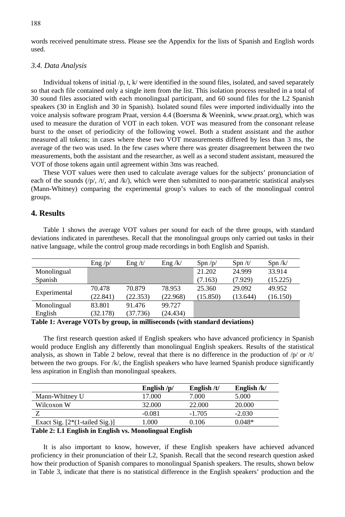words received penultimate stress. Please see the Appendix for the lists of Spanish and English words used.

#### *3.4. Data Analysis*

Individual tokens of initial  $/p$ , t, k/ were identified in the sound files, isolated, and saved separately so that each file contained only a single item from the list. This isolation process resulted in a total of 30 sound files associated with each monolingual participant, and 60 sound files for the L2 Spanish speakers (30 in English and 30 in Spanish). Isolated sound files were imported individually into the voice analysis software program Praat, version 4.4 (Boersma & Weenink, www.praat.org), which was used to measure the duration of VOT in each token. VOT was measured from the consonant release burst to the onset of periodicity of the following vowel. Both a student assistant and the author measured all tokens; in cases where these two VOT measurements differed by less than 3 ms, the average of the two was used. In the few cases where there was greater disagreement between the two measurements, both the assistant and the researcher, as well as a second student assistant, measured the VOT of those tokens again until agreement within 3ms was reached.

These VOT values were then used to calculate average values for the subjects' pronunciation of each of the sounds  $\langle \psi \rangle$ ,  $\langle \psi \rangle$ , and  $\langle k \rangle$ , which were then submitted to non-parametric statistical analyses (Mann-Whitney) comparing the experimental group's values to each of the monolingual control groups.

## **4. Results**

Table 1 shows the average VOT values per sound for each of the three groups, with standard deviations indicated in parentheses. Recall that the monolingual groups only carried out tasks in their native language, while the control group made recordings in both English and Spanish.

|              | Eng $/p/$ | $\text{Eng } / t/$ | Eng / k/ | Spn/p/   | Spn/t/   | Spn / k/ |
|--------------|-----------|--------------------|----------|----------|----------|----------|
| Monolingual  |           |                    |          | 21.202   | 24.999   | 33.914   |
| Spanish      |           |                    |          | (7.163)  | (7.929)  | (15.225) |
|              | 70.478    | 70.879             | 78.953   | 25.360   | 29.092   | 49.952   |
| Experimental | (22.841)  | (22.353)           | (22.968) | (15.850) | (13.644) | (16.150) |
| Monolingual  | 83.801    | 91.476             | 99.727   |          |          |          |
| English      | (32.178)  | (37.736)           | (24.434) |          |          |          |

**Table 1: Average VOTs by group, in milliseconds (with standard deviations)** 

The first research question asked if English speakers who have advanced proficiency in Spanish would produce English any differently than monolingual English speakers. Results of the statistical analysis, as shown in Table 2 below, reveal that there is no difference in the production of  $/p$  or  $/t$ between the two groups. For /k/, the English speakers who have learned Spanish produce significantly less aspiration in English than monolingual speakers.

|                                                         | English $/p/$ | English $/t/$ | English $/k/$ |  |
|---------------------------------------------------------|---------------|---------------|---------------|--|
| Mann-Whitney U                                          | 17.000        | 7.000         | 5.000         |  |
| Wilcoxon W                                              | 32,000        | 22,000        | 20,000        |  |
|                                                         | $-0.081$      | $-1.705$      | $-2.030$      |  |
| Exact Sig. $[2*(1-tailed Sig.)]$                        | 1.000         | 0.106         | $0.048*$      |  |
| Toble 2: I 1 English in English vs. Monelingual English |               |               |               |  |

#### **Table 2: L1 English in English vs. Monolingual English**

It is also important to know, however, if these English speakers have achieved advanced proficiency in their pronunciation of their L2, Spanish. Recall that the second research question asked how their production of Spanish compares to monolingual Spanish speakers. The results, shown below in Table 3, indicate that there is no statistical difference in the English speakers' production and the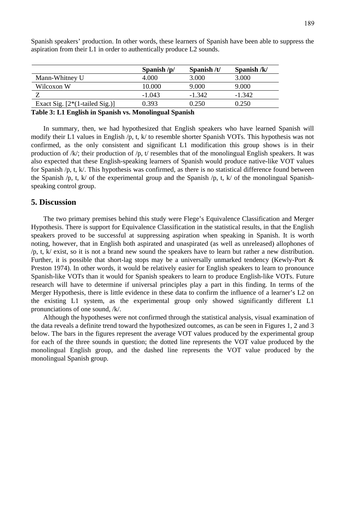|                                  | Spanish $/p/$ | Spanish $/t/$ | Spanish $/k/$ |
|----------------------------------|---------------|---------------|---------------|
| Mann-Whitney U                   | 4.000         | 3.000         | 3.000         |
| Wilcoxon W                       | 10.000        | 9.000         | 9.000         |
|                                  | $-1.043$      | $-1.342$      | $-1.342$      |
| Exact Sig. $[2*(1-tailed Sig.)]$ | 0.393         | 0.250         | 0.250         |
|                                  | _____<br>___  |               |               |

Spanish speakers' production. In other words, these learners of Spanish have been able to suppress the aspiration from their L1 in order to authentically produce L2 sounds.

**Table 3: L1 English in Spanish vs. Monolingual Spanish** 

In summary, then, we had hypothesized that English speakers who have learned Spanish will modify their L1 values in English /p, t, k/ to resemble shorter Spanish VOTs. This hypothesis was not confirmed, as the only consistent and significant L1 modification this group shows is in their production of  $/k$ ; their production of  $/p$ , t/ resembles that of the monolingual English speakers. It was also expected that these English-speaking learners of Spanish would produce native-like VOT values for Spanish  $/p$ , t, k. This hypothesis was confirmed, as there is no statistical difference found between the Spanish /p, t, k/ of the experimental group and the Spanish /p, t, k/ of the monolingual Spanishspeaking control group.

#### **5. Discussion**

The two primary premises behind this study were Flege's Equivalence Classification and Merger Hypothesis. There is support for Equivalence Classification in the statistical results, in that the English speakers proved to be successful at suppressing aspiration when speaking in Spanish. It is worth noting, however, that in English both aspirated and unaspirated (as well as unreleased) allophones of /p, t, k/ exist, so it is not a brand new sound the speakers have to learn but rather a new distribution. Further, it is possible that short-lag stops may be a universally unmarked tendency (Kewly-Port & Preston 1974). In other words, it would be relatively easier for English speakers to learn to pronounce Spanish-like VOTs than it would for Spanish speakers to learn to produce English-like VOTs. Future research will have to determine if universal principles play a part in this finding. In terms of the Merger Hypothesis, there is little evidence in these data to confirm the influence of a learner's L2 on the existing L1 system, as the experimental group only showed significantly different L1 pronunciations of one sound, /k/.

Although the hypotheses were not confirmed through the statistical analysis, visual examination of the data reveals a definite trend toward the hypothesized outcomes, as can be seen in Figures 1, 2 and 3 below. The bars in the figures represent the average VOT values produced by the experimental group for each of the three sounds in question; the dotted line represents the VOT value produced by the monolingual English group, and the dashed line represents the VOT value produced by the monolingual Spanish group.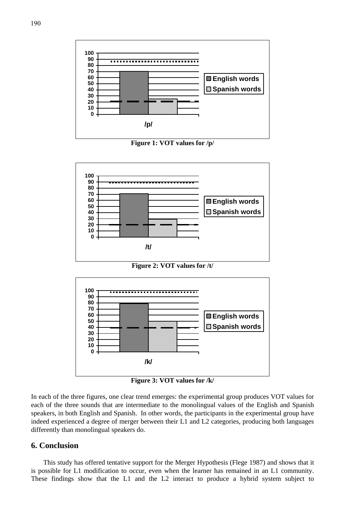

**Figure 1: VOT values for /p/** 



**Figure 2: VOT values for /t/** 



**Figure 3: VOT values for /k/** 

In each of the three figures, one clear trend emerges: the experimental group produces VOT values for each of the three sounds that are intermediate to the monolingual values of the English and Spanish speakers, in both English and Spanish. In other words, the participants in the experimental group have indeed experienced a degree of merger between their L1 and L2 categories, producing both languages differently than monolingual speakers do.

## **6. Conclusion**

This study has offered tentative support for the Merger Hypothesis (Flege 1987) and shows that it is possible for L1 modification to occur, even when the learner has remained in an L1 community. These findings show that the L1 and the L2 interact to produce a hybrid system subject to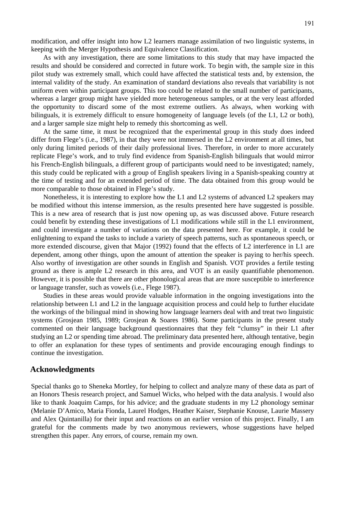modification, and offer insight into how L2 learners manage assimilation of two linguistic systems, in keeping with the Merger Hypothesis and Equivalence Classification.

As with any investigation, there are some limitations to this study that may have impacted the results and should be considered and corrected in future work. To begin with, the sample size in this pilot study was extremely small, which could have affected the statistical tests and, by extension, the internal validity of the study. An examination of standard deviations also reveals that variability is not uniform even within participant groups. This too could be related to the small number of participants, whereas a larger group might have yielded more heterogeneous samples, or at the very least afforded the opportunity to discard some of the most extreme outliers. As always, when working with bilinguals, it is extremely difficult to ensure homogeneity of language levels (of the L1, L2 or both), and a larger sample size might help to remedy this shortcoming as well.

At the same time, it must be recognized that the experimental group in this study does indeed differ from Flege's (i.e., 1987), in that they were not immersed in the L2 environment at all times, but only during limited periods of their daily professional lives. Therefore, in order to more accurately replicate Flege's work, and to truly find evidence from Spanish-English bilinguals that would mirror his French-English bilinguals, a different group of participants would need to be investigated; namely, this study could be replicated with a group of English speakers living in a Spanish-speaking country at the time of testing and for an extended period of time. The data obtained from this group would be more comparable to those obtained in Flege's study.

Nonetheless, it is interesting to explore how the L1 and L2 systems of advanced L2 speakers may be modified without this intense immersion, as the results presented here have suggested is possible. This is a new area of research that is just now opening up, as was discussed above. Future research could benefit by extending these investigations of L1 modifications while still in the L1 environment, and could investigate a number of variations on the data presented here. For example, it could be enlightening to expand the tasks to include a variety of speech patterns, such as spontaneous speech, or more extended discourse, given that Major (1992) found that the effects of L2 interference in L1 are dependent, among other things, upon the amount of attention the speaker is paying to her/his speech. Also worthy of investigation are other sounds in English and Spanish. VOT provides a fertile testing ground as there is ample L2 research in this area, and VOT is an easily quantifiable phenomenon. However, it is possible that there are other phonological areas that are more susceptible to interference or language transfer, such as vowels (i.e., Flege 1987).

Studies in these areas would provide valuable information in the ongoing investigations into the relationship between L1 and L2 in the language acquisition process and could help to further elucidate the workings of the bilingual mind in showing how language learners deal with and treat two linguistic systems (Grosjean 1985, 1989; Grosjean & Soares 1986). Some participants in the present study commented on their language background questionnaires that they felt "clumsy" in their L1 after studying an L2 or spending time abroad. The preliminary data presented here, although tentative, begin to offer an explanation for these types of sentiments and provide encouraging enough findings to continue the investigation.

#### **Acknowledgments**

Special thanks go to Sheneka Mortley, for helping to collect and analyze many of these data as part of an Honors Thesis research project, and Samuel Wicks, who helped with the data analysis. I would also like to thank Joaquim Camps, for his advice; and the graduate students in my L2 phonology seminar (Melanie D'Amico, Maria Fionda, Laurel Hodges, Heather Kaiser, Stephanie Knouse, Laurie Massery and Alex Quintanilla) for their input and reactions on an earlier version of this project. Finally, I am grateful for the comments made by two anonymous reviewers, whose suggestions have helped strengthen this paper. Any errors, of course, remain my own.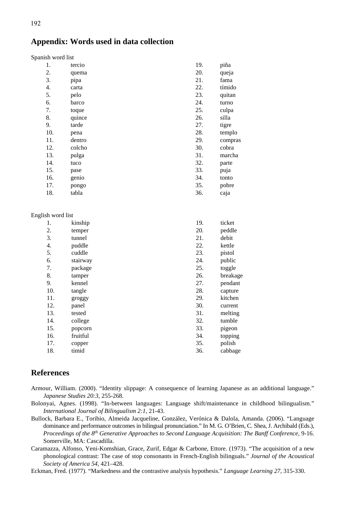## **Appendix: Words used in data collection**

| Spanish word list |  |  |
|-------------------|--|--|
|-------------------|--|--|

| 1.  | tercio | 19. | piña    |
|-----|--------|-----|---------|
| 2.  | quema  | 20. | queja   |
| 3.  | pipa   | 21. | fama    |
| 4.  | carta  | 22. | tímido  |
| 5.  | pelo   | 23. | quitan  |
| 6.  | barco  | 24. | turno   |
| 7.  | toque  | 25. | culpa   |
| 8.  | quince | 26. | silla   |
| 9.  | tarde  | 27. | tigre   |
| 10. | pena   | 28. | templo  |
| 11. | dentro | 29. | compras |
| 12. | colcho | 30. | cobra   |
| 13. | pulga  | 31. | marcha  |
| 14. | tuco   | 32. | parte   |
| 15. | pase   | 33. | puja    |
| 16. | genio  | 34. | tonto   |
| 17. | pongo  | 35. | pobre   |
| 18. | tabla  | 36. | caja    |
|     |        |     |         |

#### English word list

| 1.  | kinship  | 19. | ticket   |
|-----|----------|-----|----------|
| 2.  | temper   | 20. | peddle   |
| 3.  | tunnel   | 21. | debit    |
| 4.  | puddle   | 22. | kettle   |
| 5.  | cuddle   | 23. | pistol   |
| 6.  | stairway | 24. | public   |
| 7.  | package  | 25. | toggle   |
| 8.  | tamper   | 26. | breakage |
| 9.  | kennel   | 27. | pendant  |
| 10. | tangle   | 28. | capture  |
| 11. | groggy   | 29. | kitchen  |
| 12. | panel    | 30. | current  |
| 13. | tested   | 31. | melting  |
| 14. | college  | 32. | tumble   |
| 15. | popcorn  | 33. | pigeon   |
| 16. | fruitful | 34. | topping  |
| 17. | copper   | 35. | polish   |
| 18. | timid    | 36. | cabbage  |

### **References**

- Armour, William. (2000). "Identity slippage: A consequence of learning Japanese as an additional language." *Japanese Studies 20:3*, 255-268.
- Bolonyai, Agnes. (1998). "In-between languages: Language shift/maintenance in childhood bilingualism." *International Journal of Bilingualism 2:1*, 21-43.
- Bullock, Barbara E., Toribio, Almeida Jacqueline, González, Verónica & Dalola, Amanda. (2006). "Language dominance and performance outcomes in bilingual pronunciation." In M. G. O'Brien, C. Shea, J. Archibald (Eds.), *Proceedings of the 8th Generative Approaches to Second Language Acquisition: The Banff Conference,* 9-16. Somerville, MA: Cascadilla.
- Caramazza, Alfonso, Yeni-Komshian, Grace, Zurif, Edgar & Carbone, Ettore. (1973). "The acquisition of a new phonological contrast: The case of stop consonants in French-English bilinguals." *Journal of the Acoustical Society of America 54,* 421–428.
- Eckman, Fred. (1977). "Markedness and the contrastive analysis hypothesis." *Language Learning 27*, 315-330.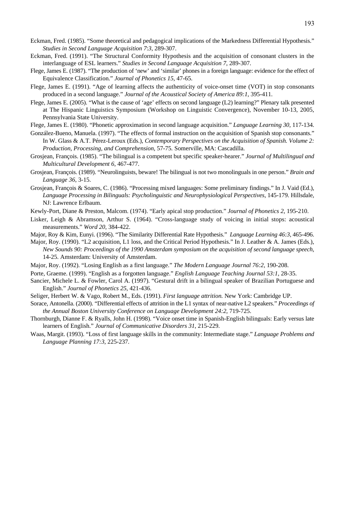- Eckman, Fred. (1985). "Some theoretical and pedagogical implications of the Markedness Differential Hypothesis." *Studies in Second Language Acquisition 7*:*3*, 289-307.
- Eckman, Fred. (1991). "The Structural Conformity Hypothesis and the acquisition of consonant clusters in the interlanguage of ESL learners." *Studies in Second Language Acquisition 7*, 289-307.
- Flege, James E. (1987). "The production of 'new' and 'similar' phones in a foreign language: evidence for the effect of Equivalence Classification." *Journal of Phonetics 15*, 47-65.
- Flege, James E. (1991). "Age of learning affects the authenticity of voice-onset time (VOT) in stop consonants produced in a second language." *Journal of the Acoustical Society of America 89:1*, 395-411.
- Flege, James E. (2005). "What is the cause of 'age' effects on second language (L2) learning?" Plenary talk presented at The Hispanic Linguistics Symposium (Workshop on Linguistic Convergence), November 10-13, 2005, Pennsylvania State University.

Flege, James E. (1980). "Phonetic approximation in second language acquisition." *Language Learning 30*, 117-134.

- González-Bueno, Manuela. (1997). "The effects of formal instruction on the acquisition of Spanish stop consonants." In W. Glass & A.T. Pérez-Leroux (Eds.), *Contemporary Perspectives on the Acquisition of Spanish. Volume 2: Production, Processing, and Comprehension*, 57-75*.* Somerville, MA: Cascadilla.
- Grosjean, François. (1985). "The bilingual is a competent but specific speaker-hearer." *Journal of Multilingual and Multicultural Development 6*, 467-477.
- Grosjean, François. (1989). "Neurolinguists, beware! The bilingual is not two monolinguals in one person." *Brain and Language 36*, 3-15.
- Grosjean, François & Soares, C. (1986). "Processing mixed languages: Some preliminary findings." In J. Vaid (Ed.), *Language Processing in Bilinguals: Psycholinguistic and Neurophysiological Perspectives*, 145-179. Hillsdale, NJ: Lawrence Erlbaum.
- Kewly-Port, Diane & Preston, Malcom. (1974). "Early apical stop production." *Journal of Phonetics 2*, 195-210.
- Lisker, Leigh & Abramson, Arthur S. (1964). "Cross-language study of voicing in initial stops: acoustical measurements." *Word 20*, 384-422.
- Major, Roy & Kim, Eunyi. (1996). "The Similarity Differential Rate Hypothesis." *Language Learning 46:3*, 465-496.
- Major, Roy. (1990). "L2 acquisition, L1 loss, and the Critical Period Hypothesis." In J. Leather & A. James (Eds.), *New Sounds 90: Proceedings of the 1990 Amsterdam symposium on the acquisition of second language speech*, 14-25. Amsterdam: University of Amsterdam.
- Major, Roy. (1992). "Losing English as a first language." *The Modern Language Journal 76:2*, 190-208.
- Porte, Graeme. (1999). "English as a forgotten language." *English Language Teaching Journal 53:1*, 28-35.
- Sancier, Michele L. & Fowler, Carol A. (1997). "Gestural drift in a bilingual speaker of Brazilian Portuguese and English." *Journal of Phonetics 25*, 421-436.
- Seliger, Herbert W. & Vago, Robert M., Eds. (1991). *First language attrition.* New York: Cambridge UP.
- Sorace, Antonella. (2000). "Differential effects of attrition in the L1 syntax of near-native L2 speakers." *Proceedings of the Annual Boston University Conference on Language Development 24:2*, 719-725.
- Thornburgh, Dianne F. & Ryalls, John H. (1998). "Voice onset time in Spanish-English bilinguals: Early versus late learners of English." *Journal of Communicative Disorders 31*, 215-229.
- Waas, Margit. (1993). "Loss of first language skills in the community: Intermediate stage." *Language Problems and Language Planning 17:3*, 225-237.